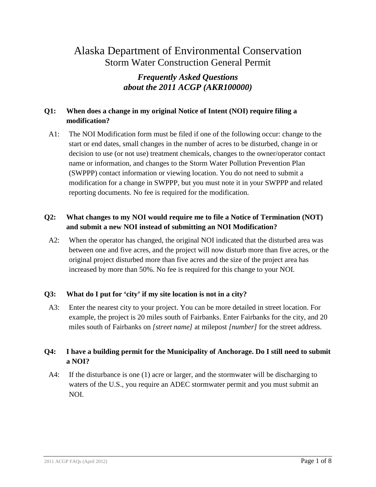# Alaska Department of Environmental Conservation Storm Water Construction General Permit

# *Frequently Asked Questions about the 2011 ACGP (AKR100000)*

# **Q1: When does a change in my original Notice of Intent (NOI) require filing a modification?**

A1: The NOI Modification form must be filed if one of the following occur: change to the start or end dates, small changes in the number of acres to be disturbed, change in or decision to use (or not use) treatment chemicals, changes to the owner/operator contact name or information, and changes to the Storm Water Pollution Prevention Plan (SWPPP) contact information or viewing location. You do not need to submit a modification for a change in SWPPP, but you must note it in your SWPPP and related reporting documents. No fee is required for the modification.

# **Q2: What changes to my NOI would require me to file a Notice of Termination (NOT) and submit a new NOI instead of submitting an NOI Modification?**

A2: When the operator has changed, the original NOI indicated that the disturbed area was between one and five acres, and the project will now disturb more than five acres, or the original project disturbed more than five acres and the size of the project area has increased by more than 50%. No fee is required for this change to your NOI.

### **Q3: What do I put for 'city' if my site location is not in a city?**

A3: Enter the nearest city to your project. You can be more detailed in street location. For example, the project is 20 miles south of Fairbanks. Enter Fairbanks for the city, and 20 miles south of Fairbanks on *[street name]* at milepost *[number]* for the street address.

# **Q4: I have a building permit for the Municipality of Anchorage. Do I still need to submit a NOI?**

A4: If the disturbance is one (1) acre or larger, and the stormwater will be discharging to waters of the U.S., you require an ADEC stormwater permit and you must submit an NOI.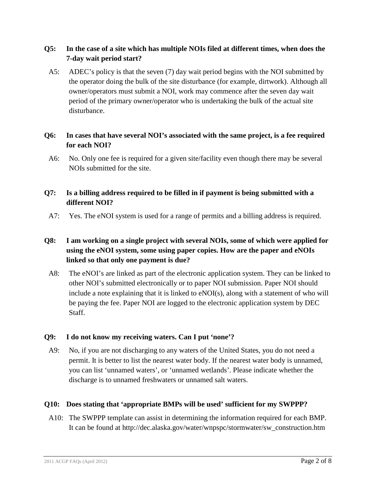### **Q5: In the case of a site which has multiple NOIs filed at different times, when does the 7-day wait period start?**

A5: ADEC's policy is that the seven (7) day wait period begins with the NOI submitted by the operator doing the bulk of the site disturbance (for example, dirtwork). Although all owner/operators must submit a NOI, work may commence after the seven day wait period of the primary owner/operator who is undertaking the bulk of the actual site disturbance.

### **Q6: In cases that have several NOI's associated with the same project, is a fee required for each NOI?**

A6: No. Only one fee is required for a given site/facility even though there may be several NOIs submitted for the site.

### **Q7: Is a billing address required to be filled in if payment is being submitted with a different NOI?**

A7: Yes. The eNOI system is used for a range of permits and a billing address is required.

# **Q8: I am working on a single project with several NOIs, some of which were applied for using the eNOI system, some using paper copies. How are the paper and eNOIs linked so that only one payment is due?**

A8: The eNOI's are linked as part of the electronic application system. They can be linked to other NOI's submitted electronically or to paper NOI submission. Paper NOI should include a note explaining that it is linked to eNOI(s), along with a statement of who will be paying the fee. Paper NOI are logged to the electronic application system by DEC Staff.

### **Q9: I do not know my receiving waters. Can I put 'none'?**

A9: No, if you are not discharging to any waters of the United States, you do not need a permit. It is better to list the nearest water body. If the nearest water body is unnamed, you can list 'unnamed waters', or 'unnamed wetlands'. Please indicate whether the discharge is to unnamed freshwaters or unnamed salt waters.

### **Q10: Does stating that 'appropriate BMPs will be used' sufficient for my SWPPP?**

A10: The SWPPP template can assist in determining the information required for each BMP. It can be found at http://dec.alaska.gov/water/wnpspc/stormwater/sw\_construction.htm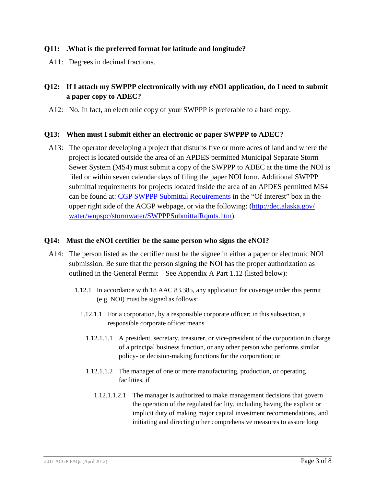### **Q11: .What is the preferred format for latitude and longitude?**

A11: Degrees in decimal fractions.

# **Q12: If I attach my SWPPP electronically with my eNOI application, do I need to submit a paper copy to ADEC?**

A12: No. In fact, an electronic copy of your SWPPP is preferable to a hard copy.

### **Q13: When must I submit either an electronic or paper SWPPP to ADEC?**

A13: The operator developing a project that disturbs five or more acres of land and where the project is located outside the area of an APDES permitted Municipal Separate Storm Sewer System (MS4) must submit a copy of the SWPPP to ADEC at the time the NOI is filed or within seven calendar days of filing the paper NOI form. Additional SWPPP submittal requirements for projects located inside the area of an APDES permitted MS4 can be found at: [CGP SWPPP Submittal Requirements](http://dec.alaska.gov/water/wnpspc/stormwater/SWPPPSubmittalRqmts.htm) in the "Of Interest" box in the upper right side of the ACGP webpage, or via the following: [\(http://dec.alaska.gov/](http://dec.alaska.gov/water/wnpspc/stormwater/SWPPPSubmittalRqmts.htm)  [water/wnpspc/stormwater/SWPPPSubmittalRqmts.htm\)](http://dec.alaska.gov/water/wnpspc/stormwater/SWPPPSubmittalRqmts.htm).

#### **Q14: Must the eNOI certifier be the same person who signs the eNOI?**

- A14: The person listed as the certifier must be the signee in either a paper or electronic NOI submission. Be sure that the person signing the NOI has the proper authorization as outlined in the General Permit – See Appendix A Part 1.12 (listed below):
	- 1.12.1 In accordance with 18 AAC 83.385, any application for coverage under this permit (e.g. NOI) must be signed as follows:
		- 1.12.1.1 For a corporation, by a responsible corporate officer; in this subsection, a responsible corporate officer means
			- 1.12.1.1.1 A president, secretary, treasurer, or vice-president of the corporation in charge of a principal business function, or any other person who performs similar policy- or decision-making functions for the corporation; or
			- 1.12.1.1.2 The manager of one or more manufacturing, production, or operating facilities if
				- 1.12.1.1.2.1 The manager is authorized to make management decisions that govern the operation of the regulated facility, including having the explicit or implicit duty of making major capital investment recommendations, and initiating and directing other comprehensive measures to assure long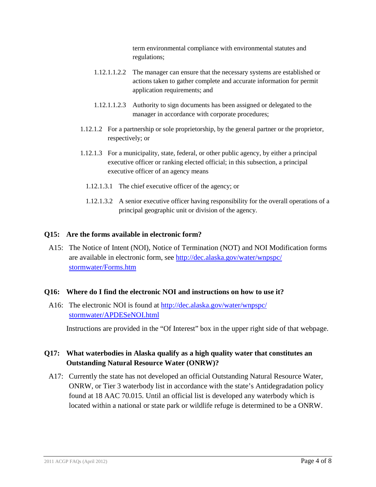term environmental compliance with environmental statutes and regulations;

- 1.12.1.1.2.2 The manager can ensure that the necessary systems are established or actions taken to gather complete and accurate information for permit application requirements; and
- 1.12.1.1.2.3 Authority to sign documents has been assigned or delegated to the manager in accordance with corporate procedures;
- 1.12.1.2 For a partnership or sole proprietorship, by the general partner or the proprietor, respectively; or
- 1.12.1.3 For a municipality, state, federal, or other public agency, by either a principal executive officer or ranking elected official; in this subsection, a principal executive officer of an agency means
	- 1.12.1.3.1 The chief executive officer of the agency; or
	- 1.12.1.3.2 A senior executive officer having responsibility for the overall operations of a principal geographic unit or division of the agency.

#### **Q15: Are the forms available in electronic form?**

A15: The Notice of Intent (NOI), Notice of Termination (NOT) and NOI Modification forms are available in electronic form, see [http://dec.alaska.gov/water/wnpspc/](http://dec.alaska.gov/water/wnpspc/stormwater/Forms.htm)  [stormwater/Forms.htm](http://dec.alaska.gov/water/wnpspc/stormwater/Forms.htm)

#### **Q16: Where do I find the electronic NOI and instructions on how to use it?**

A16: The electronic NOI is found at [http://dec.alaska.gov/water/wnpspc/](http://dec.alaska.gov/water/wnpspc/stormwater/APDESeNOI.html)  [stormwater/APDESeNOI.html](http://dec.alaska.gov/water/wnpspc/stormwater/APDESeNOI.html)

Instructions are provided in the "Of Interest" box in the upper right side of that webpage.

### **Q17: What waterbodies in Alaska qualify as a high quality water that constitutes an Outstanding Natural Resource Water (ONRW)?**

A17: Currently the state has not developed an official Outstanding Natural Resource Water, ONRW, or Tier 3 waterbody list in accordance with the state's Antidegradation policy found at 18 AAC 70.015. Until an official list is developed any waterbody which is located within a national or state park or wildlife refuge is determined to be a ONRW.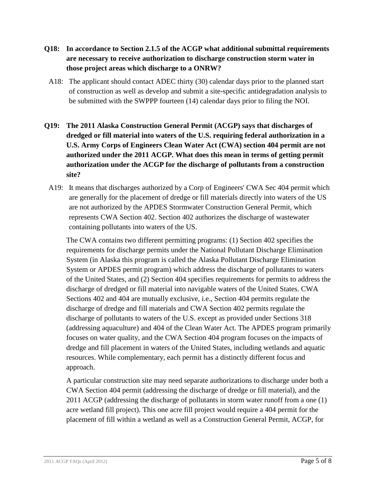### **Q18: In accordance to Section 2.1.5 of the ACGP what additional submittal requirements are necessary to receive authorization to discharge construction storm water in those project areas which discharge to a ONRW?**

- A18: The applicant should contact ADEC thirty (30) calendar days prior to the planned start of construction as well as develop and submit a site-specific antidegradation analysis to be submitted with the SWPPP fourteen (14) calendar days prior to filing the NOI.
- **Q19: The 2011 Alaska Construction General Permit (ACGP) says that discharges of dredged or fill material into waters of the U.S. requiring federal authorization in a U.S. Army Corps of Engineers Clean Water Act (CWA) section 404 permit are not authorized under the 2011 ACGP. What does this mean in terms of getting permit authorization under the ACGP for the discharge of pollutants from a construction site?**
	- A19: It means that discharges authorized by a Corp of Engineers' CWA Sec 404 permit which are generally for the placement of dredge or fill materials directly into waters of the US are not authorized by the APDES Stormwater Construction General Permit, which represents CWA Section 402. Section 402 authorizes the discharge of wastewater containing pollutants into waters of the US.

The CWA contains two different permitting programs: (1) Section 402 specifies the requirements for discharge permits under the National Pollutant Discharge Elimination System (in Alaska this program is called the Alaska Pollutant Discharge Elimination System or APDES permit program) which address the discharge of pollutants to waters of the United States, and (2) Section 404 specifies requirements for permits to address the discharge of dredged or fill material into navigable waters of the United States. CWA Sections 402 and 404 are mutually exclusive, i.e., Section 404 permits regulate the discharge of dredge and fill materials and CWA Section 402 permits regulate the discharge of pollutants to waters of the U.S. except as provided under Sections 318 (addressing aquaculture) and 404 of the Clean Water Act. The APDES program primarily focuses on water quality, and the CWA Section 404 program focuses on the impacts of dredge and fill placement in waters of the United States, including wetlands and aquatic resources. While complementary, each permit has a distinctly different focus and approach.

A particular construction site may need separate authorizations to discharge under both a CWA Section 404 permit (addressing the discharge of dredge or fill material), and the 2011 ACGP (addressing the discharge of pollutants in storm water runoff from a one (1) acre wetland fill project). This one acre fill project would require a 404 permit for the placement of fill within a wetland as well as a Construction General Permit, ACGP, for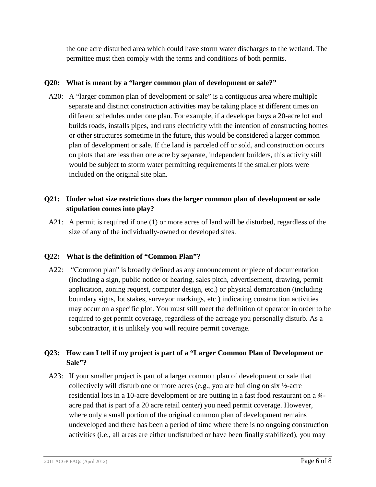the one acre disturbed area which could have storm water discharges to the wetland. The permittee must then comply with the terms and conditions of both permits.

### **Q20: What is meant by a "larger common plan of development or sale?"**

A20: A "larger common plan of development or sale" is a contiguous area where multiple separate and distinct construction activities may be taking place at different times on different schedules under one plan. For example, if a developer buys a 20-acre lot and builds roads, installs pipes, and runs electricity with the intention of constructing homes or other structures sometime in the future, this would be considered a larger common plan of development or sale. If the land is parceled off or sold, and construction occurs on plots that are less than one acre by separate, independent builders, this activity still would be subject to storm water permitting requirements if the smaller plots were included on the original site plan.

### **Q21: Under what size restrictions does the larger common plan of development or sale stipulation comes into play?**

A21: A permit is required if one (1) or more acres of land will be disturbed, regardless of the size of any of the individually-owned or developed sites.

### **Q22: What is the definition of "Common Plan"?**

A22: "Common plan" is broadly defined as any announcement or piece of documentation (including a sign, public notice or hearing, sales pitch, advertisement, drawing, permit application, zoning request, computer design, etc.) or physical demarcation (including boundary signs, lot stakes, surveyor markings, etc.) indicating construction activities may occur on a specific plot. You must still meet the definition of operator in order to be required to get permit coverage, regardless of the acreage you personally disturb. As a subcontractor, it is unlikely you will require permit coverage.

# **Q23: How can I tell if my project is part of a "Larger Common Plan of Development or Sale"?**

A23: If your smaller project is part of a larger common plan of development or sale that collectively will disturb one or more acres (e.g., you are building on six  $\frac{1}{2}$ -acre residential lots in a 10-acre development or are putting in a fast food restaurant on a ¾ acre pad that is part of a 20 acre retail center) you need permit coverage. However, where only a small portion of the original common plan of development remains undeveloped and there has been a period of time where there is no ongoing construction activities (i.e., all areas are either undisturbed or have been finally stabilized), you may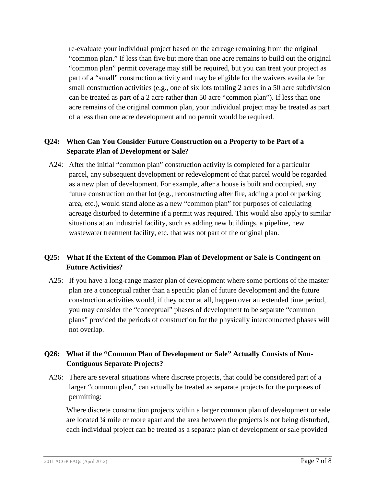re-evaluate your individual project based on the acreage remaining from the original "common plan." If less than five but more than one acre remains to build out the original "common plan" permit coverage may still be required, but you can treat your project as part of a "small" construction activity and may be eligible for the waivers available for small construction activities (e.g., one of six lots totaling 2 acres in a 50 acre subdivision can be treated as part of a 2 acre rather than 50 acre "common plan"). If less than one acre remains of the original common plan, your individual project may be treated as part of a less than one acre development and no permit would be required.

### **Q24: When Can You Consider Future Construction on a Property to be Part of a Separate Plan of Development or Sale?**

A24: After the initial "common plan" construction activity is completed for a particular parcel, any subsequent development or redevelopment of that parcel would be regarded as a new plan of development. For example, after a house is built and occupied, any future construction on that lot (e.g., reconstructing after fire, adding a pool or parking area, etc.), would stand alone as a new "common plan" for purposes of calculating acreage disturbed to determine if a permit was required. This would also apply to similar situations at an industrial facility, such as adding new buildings, a pipeline, new wastewater treatment facility, etc. that was not part of the original plan.

### **Q25: What If the Extent of the Common Plan of Development or Sale is Contingent on Future Activities?**

A25: If you have a long-range master plan of development where some portions of the master plan are a conceptual rather than a specific plan of future development and the future construction activities would, if they occur at all, happen over an extended time period, you may consider the "conceptual" phases of development to be separate "common plans" provided the periods of construction for the physically interconnected phases will not overlap.

### **Q26: What if the "Common Plan of Development or Sale" Actually Consists of Non-Contiguous Separate Projects?**

A26: There are several situations where discrete projects, that could be considered part of a larger "common plan," can actually be treated as separate projects for the purposes of permitting:

Where discrete construction projects within a larger common plan of development or sale are located ¼ mile or more apart and the area between the projects is not being disturbed, each individual project can be treated as a separate plan of development or sale provided